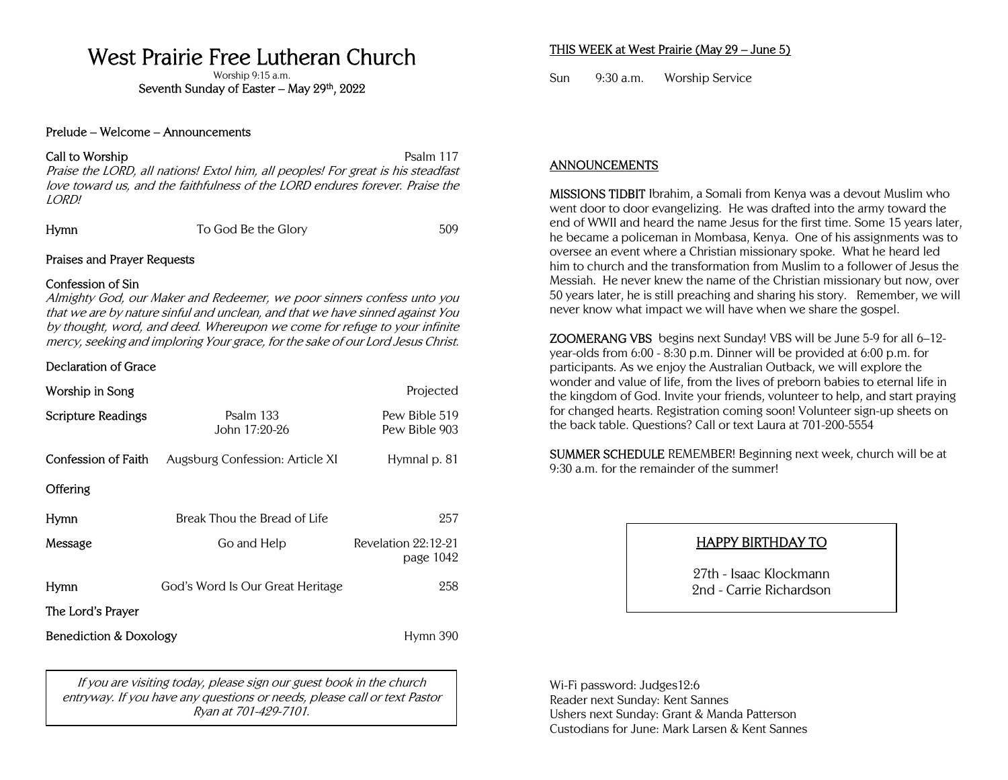# West Prairie Free Lutheran Church

Worship 9:15 a.m.

Seventh Sunday of Easter – May 29th, 2022

#### Prelude – Welcome – Announcements

#### Call to Worship Psalm 117

Praise the LORD, all nations! Extol him, all peoples! For great is his steadfast love toward us, and the faithfulness of the LORD endures forever. Praise the LORD!

Hymn To God Be the Glory 509

## Praises and Prayer Requests

## Confession of Sin

Almighty God, our Maker and Redeemer, we poor sinners confess unto you that we are by nature sinful and unclean, and that we have sinned against You by thought, word, and deed. Whereupon we come for refuge to your infinite mercy, seeking and imploring Your grace, for the sake of our Lord Jesus Christ.

## Declaration of Grace

| Worship in Song                   |                                  | Projected                        |
|-----------------------------------|----------------------------------|----------------------------------|
| <b>Scripture Readings</b>         | Psalm 133<br>John 17:20-26       | Pew Bible 519<br>Pew Bible 903   |
| Confession of Faith               | Augsburg Confession: Article XI  | Hymnal p. 81                     |
| <b>Offering</b>                   |                                  |                                  |
| Hymn                              | Break Thou the Bread of Life     | 257                              |
| Message                           | Go and Help                      | Revelation 22:12-21<br>page 1042 |
| Hymn                              | God's Word Is Our Great Heritage | 258                              |
| The Lord's Prayer                 |                                  |                                  |
| <b>Benediction &amp; Doxology</b> |                                  | Hymn 390                         |

If you are visiting today, please sign our guest book in the church entryway. If you have any questions or needs, please call or text Pastor Ryan at 701-429-7101.

# THIS WEEK at West Prairie (May 29 – June 5)

Sun 9:30 a.m. Worship Service

## ANNOUNCEMENTS

MISSIONS TIDBIT Ibrahim, a Somali from Kenya was a devout Muslim who went door to door evangelizing. He was drafted into the army toward the end of WWII and heard the name Jesus for the first time. Some 15 years later, he became a policeman in Mombasa, Kenya. One of his assignments was to oversee an event where a Christian missionary spoke. What he heard led him to church and the transformation from Muslim to a follower of Jesus the Messiah. He never knew the name of the Christian missionary but now, over 50 years later, he is still preaching and sharing his story. Remember, we will never know what impact we will have when we share the gospel.

ZOOMERANG VBS begins next Sunday! VBS will be June 5-9 for all 6–12 year-olds from 6:00 - 8:30 p.m. Dinner will be provided at 6:00 p.m. for participants. As we enjoy the Australian Outback, we will explore the wonder and value of life, from the lives of preborn babies to eternal life in the kingdom of God. Invite your friends, volunteer to help, and start praying for changed hearts. Registration coming soon! Volunteer sign-up sheets on the back table. Questions? Call or text Laura at 701-200-5554

SUMMER SCHEDULE REMEMBER! Beginning next week, church will be at 9:30 a.m. for the remainder of the summer!

# HAPPY BIRTHDAY TO

27th - Isaac Klockmann 2nd - Carrie Richardson

Wi-Fi password: Judges12:6 Reader next Sunday: Kent Sannes Ushers next Sunday: Grant & Manda Patterson Custodians for June: Mark Larsen & Kent Sannes